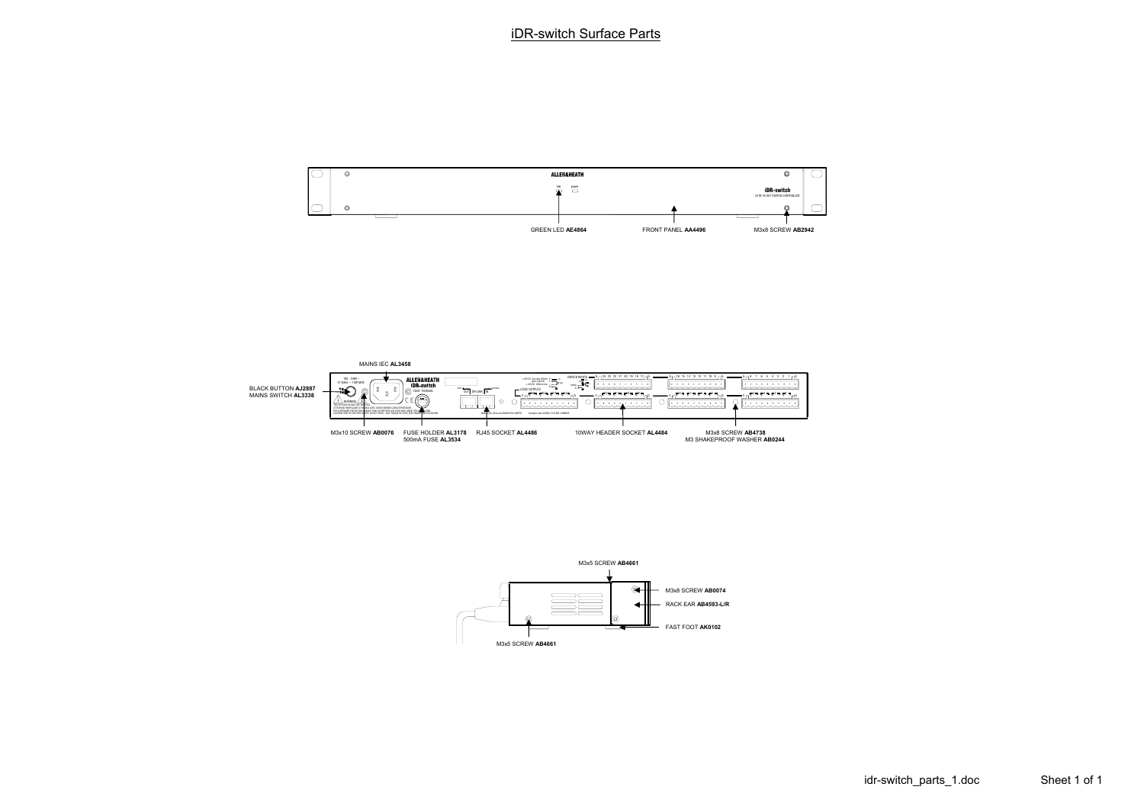



idr-switch\_parts\_1.doc Sheet 1 of 1